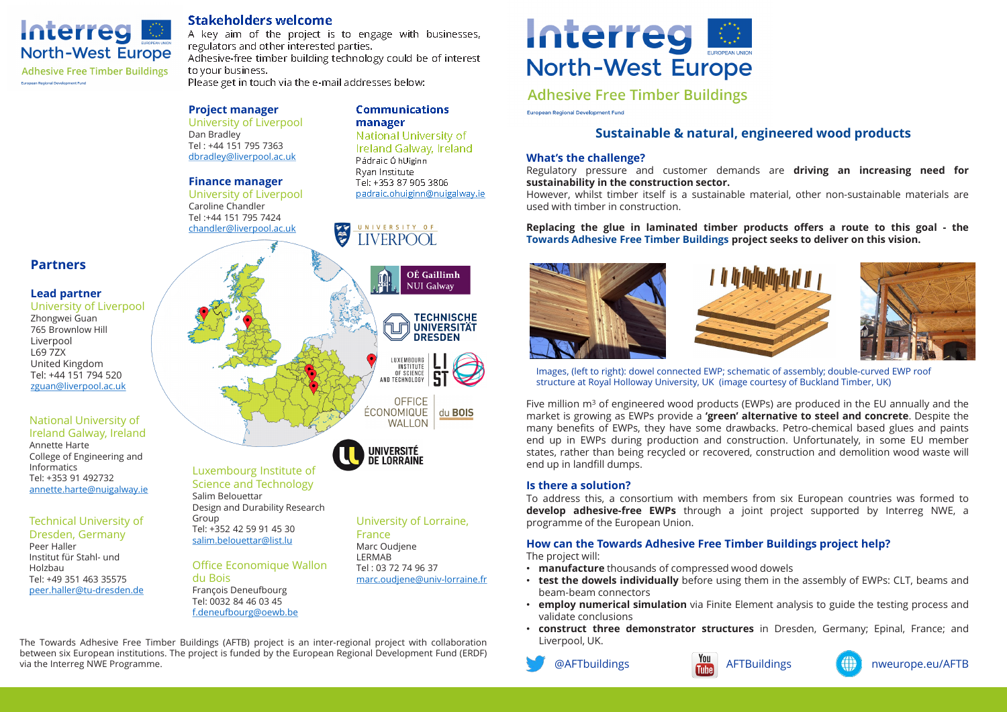

**Adhesive Free Timber Buildings** 

University of Liverpool Regulatory pressure and customer demands are **driving an increasing need for** Dan Bradley Tel : +44 151 795 7363 dbradley@liverpool.ac.uk **Replacing the glue in laminated timber products offers a route to this goal - the**  $H$  whilst time matterial,  $H$  is a subsequently matterial,  $\mu$ 

# **Project manager**

Tel: 0032 84 46 03 45 f.deneufbourg@oewb.be





@AFTbuildings **AFTBuildings** AFTBuildings **AFTBUILDING** nweurope.eu/AFTB

Peer Haller Institut für Stahl- und Holzbau Tel: +49 351 463 35575 ا <mark>peer.haller@tu-dresden.de</mark><br>.

Annette Harte Informatics Tel: +353 91 492732

## **manager Project manager communications** and  $\frac{1}{2}$  **curopean Regional Development Fund**<br>University of Liverpool **manager**

UNIVERSITY OF

**LIVERPOOL** 

# Technical University of Dresden, Germany

A key aim of the project is to engage with businesses, regulators and other interested parties.  $\overline{S}$  is the A key aim of the project is to engage with businesses,<br>He Meat Furging regulators and other interested parties.

# **Finance manager**

 $\frac{1}{2}$  of engineered wood products (EWPs) are produced in the EU annually are produced in the EU annually and the EU annually and the EU annually and the EU annually and the EU annually and the EU annually and the EU a

University of Liverpool Caroline Chandler Caroline Changer<br>Tel :+44 151 795 7424<br>chandlor@liverpool.ac chandler@liverpool.ac.uk

#### **Partners** Images, (left to right): dowel connected EWP roof assembly; dowel connected EWP roof assembly; dowel connected EWP roof assembly; down **Is a solution of the solution of the solution of the solution of the solution of the solution of the solution of the solution of the solution of the solution of the solution of the solution of the solution of the solution**

The Towards Adhesive Free Timber Buildings (AFTB) project is an inter-regional project with collaboration The Towards Adhesive Free Timber Buildings (AFTB) project is an inter-regional project with collaboration Liverpool, UK.<br>between six European institutions. The project is funded by the European Regional Development Fund (E via the Interreg NWE Programme.

### **Lead partner** they have some drawbacks. Petro-chemical based glues and paints and paints of  $\mathcal{A}$ market is growing as EWPs provide a **'green' alternative to steel and concrete**. Despite the

University of Liverpool (EWPS during production and construction and construction and construction and construction and construction and construction and construction and construction and construction and construction and Zhongwei Guan 765 Brownlow Hill **Is there a solution?** L69 7ZX United Kingdom Tel: +44 151 794 520 **How can the Towards Adhesive Free Timber Buildings project help?:** zguan@liverpool.ac.uk • **manufacture** thousands of compressed wood dowels  $S$ states, rather than being recovered or recovered, construction and demolition would was the will be writing will be writing  $\mathcal{L}$  $H = 1, 744$ 

# $\begin{array}{c} \mathsf{National\ University\ of} \end{array}$ lireland Q

**Communications** 

National University of Ireland Galway, Ireland Pádraic Ó hUiginn Ryan Institute Tel: +353 87 905 3806 padraic.ohuiginn@nuigalway.ie

OÉ Gaillimh

du **BOIS** 

# **Stakeholders welcome**

Adhesive-free timber building technology could be of interest to your business.

**THE** 

Please get in touch via the e-mail addresses below:

**DETADE STAGE ARE AN ARRY PRESS ANT ARRY AND THE UP IN EAST OF THE CHALLENGE?**<br>Ryan Institute **and the Challenge?**<br>Ryan Institute and Customer demands are **driving an increasing need for sustainability in the construction sector. However it is a sustainablity in the construction sector.**<br>University of Liverpool by and *padraic.ohuiginn@nuigalway.ie* However, whilst timber itself is a sustainable material, other non-sustainable materials are used with timber in construction.



## **What's the challenge?**

# **Is there a solution?**

To address this, a consortium with members from six European countries was formed to **1998 Design and Durability Research**<br>Technical University of the European Union. This areas to the terropean Union. This exploress and the testing prof programme of the European Union.

### **Replacing the glue in laminated timber products offers a route to this goal - the Towards Adhesive Free Timber Buildings project seeks to deliver on this vision. IMAGES SHOWING THE ASSEMBLY OF THE CLT PANEL**



# **How can the Towards Adhesive Free Timber Buildings project help?:**

The project will:

- **manufacture** thousands of compressed wood dowels
- beam-beam connectors
- **employ numerical simulation** via Finite Element analysis to guide the testing process and validate conclusions
- **construct three demonstrator structures** in Dresden, Germany; Epinal, France; and Liverpool, UK.





Images, (left to right): dowel connected EWP; schematic of assembly; double-curved EWP roof

Five million  $m<sup>3</sup>$  of engineered wood products (EWPs) are produced in the EU annually and the market is growing as EWPs provide a **'green' alternative to steel and concrete**. Despite the many benefits of EWPs, they have some drawbacks. Petro-chemical based glues and paints end up in EWPs during production and construction. Unfortunately, in some EU member states, rather than being recycled or recovered, construction and demolition wood waste will end up in landfill dumps. France of Engineering and<br>Informatics **individually individually individually** and up in landfill dumps.<br>Tel: +252.01.403732





# European Regional Development Fund Wood products (EWPS) and produced are produced by the Auildings are produced work and the e-mail addresses below:

# Dan Bradley **Example Analy and Sustainable & natural, engineered wood products**<br>Tel: +44 151 795 7363 **Brading Galway Ireland**